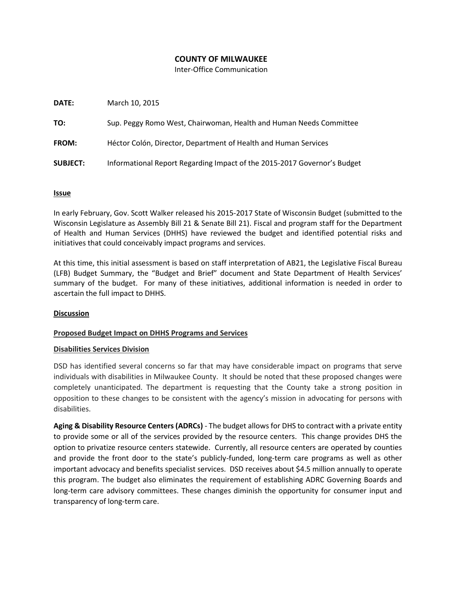## **COUNTY OF MILWAUKEE**

Inter-Office Communication

| DATE:           | March 10, 2015                                                           |
|-----------------|--------------------------------------------------------------------------|
| TO:             | Sup. Peggy Romo West, Chairwoman, Health and Human Needs Committee       |
| <b>FROM:</b>    | Héctor Colón, Director, Department of Health and Human Services          |
| <b>SUBJECT:</b> | Informational Report Regarding Impact of the 2015-2017 Governor's Budget |

### **Issue**

In early February, Gov. Scott Walker released his 2015-2017 State of Wisconsin Budget (submitted to the Wisconsin Legislature as Assembly Bill 21 & Senate Bill 21). Fiscal and program staff for the Department of Health and Human Services (DHHS) have reviewed the budget and identified potential risks and initiatives that could conceivably impact programs and services.

At this time, this initial assessment is based on staff interpretation of AB21, the Legislative Fiscal Bureau (LFB) Budget Summary, the "Budget and Brief" document and State Department of Health Services' summary of the budget. For many of these initiatives, additional information is needed in order to ascertain the full impact to DHHS.

### **Discussion**

### **Proposed Budget Impact on DHHS Programs and Services**

### **Disabilities Services Division**

DSD has identified several concerns so far that may have considerable impact on programs that serve individuals with disabilities in Milwaukee County. It should be noted that these proposed changes were completely unanticipated. The department is requesting that the County take a strong position in opposition to these changes to be consistent with the agency's mission in advocating for persons with disabilities.

**Aging & Disability Resource Centers (ADRCs)** - The budget allows for DHS to contract with a private entity to provide some or all of the services provided by the resource centers. This change provides DHS the option to privatize resource centers statewide. Currently, all resource centers are operated by counties and provide the front door to the state's publicly-funded, long-term care programs as well as other important advocacy and benefits specialist services. DSD receives about \$4.5 million annually to operate this program. The budget also eliminates the requirement of establishing ADRC Governing Boards and long-term care advisory committees. These changes diminish the opportunity for consumer input and transparency of long-term care.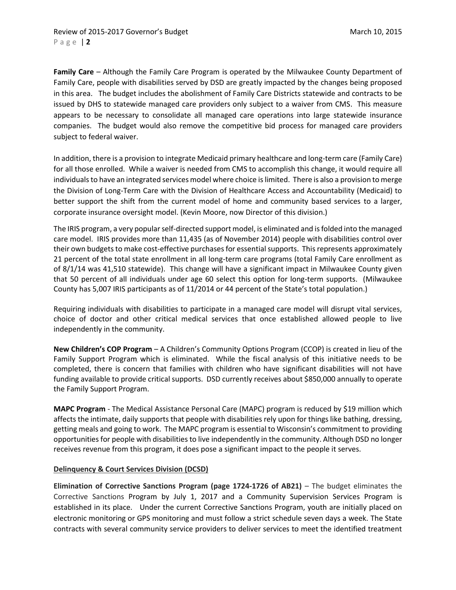**Family Care** – Although the Family Care Program is operated by the Milwaukee County Department of Family Care, people with disabilities served by DSD are greatly impacted by the changes being proposed in this area. The budget includes the abolishment of Family Care Districts statewide and contracts to be issued by DHS to statewide managed care providers only subject to a waiver from CMS. This measure appears to be necessary to consolidate all managed care operations into large statewide insurance companies. The budget would also remove the competitive bid process for managed care providers subject to federal waiver.

In addition, there is a provision to integrate Medicaid primary healthcare and long-term care (Family Care) for all those enrolled. While a waiver is needed from CMS to accomplish this change, it would require all individuals to have an integrated services model where choice is limited. There is also a provision to merge the Division of Long-Term Care with the Division of Healthcare Access and Accountability (Medicaid) to better support the shift from the current model of home and community based services to a larger, corporate insurance oversight model. (Kevin Moore, now Director of this division.)

The IRIS program, a very popular self-directed support model, is eliminated and is folded into the managed care model. IRIS provides more than 11,435 (as of November 2014) people with disabilities control over their own budgets to make cost-effective purchases for essential supports. This represents approximately 21 percent of the total state enrollment in all long-term care programs (total Family Care enrollment as of 8/1/14 was 41,510 statewide). This change will have a significant impact in Milwaukee County given that 50 percent of all individuals under age 60 select this option for long-term supports. (Milwaukee County has 5,007 IRIS participants as of 11/2014 or 44 percent of the State's total population.)

Requiring individuals with disabilities to participate in a managed care model will disrupt vital services, choice of doctor and other critical medical services that once established allowed people to live independently in the community.

**New Children's COP Program** – A Children's Community Options Program (CCOP) is created in lieu of the Family Support Program which is eliminated. While the fiscal analysis of this initiative needs to be completed, there is concern that families with children who have significant disabilities will not have funding available to provide critical supports. DSD currently receives about \$850,000 annually to operate the Family Support Program.

**MAPC Program** - The Medical Assistance Personal Care (MAPC) program is reduced by \$19 million which affects the intimate, daily supports that people with disabilities rely upon for things like bathing, dressing, getting meals and going to work. The MAPC program is essential to Wisconsin's commitment to providing opportunities for people with disabilities to live independently in the community. Although DSD no longer receives revenue from this program, it does pose a significant impact to the people it serves.

# **Delinquency & Court Services Division (DCSD)**

**Elimination of Corrective Sanctions Program (page 1724-1726 of AB21)** – The budget eliminates the Corrective Sanctions Program by July 1, 2017 and a Community Supervision Services Program is established in its place. Under the current Corrective Sanctions Program, youth are initially placed on electronic monitoring or GPS monitoring and must follow a strict schedule seven days a week. The State contracts with several community service providers to deliver services to meet the identified treatment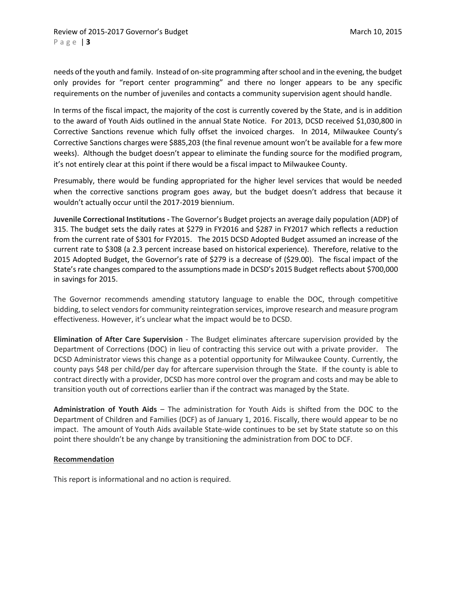needs of the youth and family. Instead of on-site programming after school and in the evening, the budget only provides for "report center programming" and there no longer appears to be any specific requirements on the number of juveniles and contacts a community supervision agent should handle.

In terms of the fiscal impact, the majority of the cost is currently covered by the State, and is in addition to the award of Youth Aids outlined in the annual State Notice. For 2013, DCSD received \$1,030,800 in Corrective Sanctions revenue which fully offset the invoiced charges. In 2014, Milwaukee County's Corrective Sanctions charges were \$885,203 (the final revenue amount won't be available for a few more weeks). Although the budget doesn't appear to eliminate the funding source for the modified program, it's not entirely clear at this point if there would be a fiscal impact to Milwaukee County.

Presumably, there would be funding appropriated for the higher level services that would be needed when the corrective sanctions program goes away, but the budget doesn't address that because it wouldn't actually occur until the 2017-2019 biennium.

**Juvenile Correctional Institutions -** The Governor's Budget projects an average daily population (ADP) of 315. The budget sets the daily rates at \$279 in FY2016 and \$287 in FY2017 which reflects a reduction from the current rate of \$301 for FY2015. The 2015 DCSD Adopted Budget assumed an increase of the current rate to \$308 (a 2.3 percent increase based on historical experience). Therefore, relative to the 2015 Adopted Budget, the Governor's rate of \$279 is a decrease of (\$29.00). The fiscal impact of the State's rate changes compared to the assumptions made in DCSD's 2015 Budget reflects about \$700,000 in savings for 2015.

The Governor recommends amending statutory language to enable the DOC, through competitive bidding, to select vendors for community reintegration services, improve research and measure program effectiveness. However, it's unclear what the impact would be to DCSD.

**Elimination of After Care Supervision** - The Budget eliminates aftercare supervision provided by the Department of Corrections (DOC) in lieu of contracting this service out with a private provider. The DCSD Administrator views this change as a potential opportunity for Milwaukee County. Currently, the county pays \$48 per child/per day for aftercare supervision through the State. If the county is able to contract directly with a provider, DCSD has more control over the program and costs and may be able to transition youth out of corrections earlier than if the contract was managed by the State.

**Administration of Youth Aids** – The administration for Youth Aids is shifted from the DOC to the Department of Children and Families (DCF) as of January 1, 2016. Fiscally, there would appear to be no impact. The amount of Youth Aids available State-wide continues to be set by State statute so on this point there shouldn't be any change by transitioning the administration from DOC to DCF.

### **Recommendation**

This report is informational and no action is required.